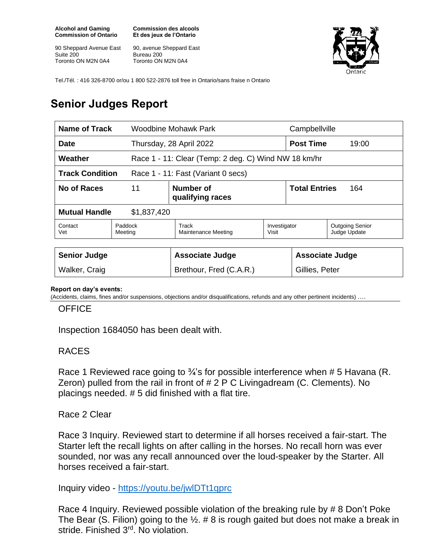**Alcohol and Gaming Commission of Ontario**

90 Sheppard Avenue East Suite 200 Toronto ON M2N 0A4

**Commission des alcools Et des jeux de l'Ontario**

90, avenue Sheppard East Bureau 200 Toronto ON M2N 0A4



Tel./Tél. : 416 326-8700 or/ou 1 800 522-2876 toll free in Ontario/sans fraise n Ontario

# **Senior Judges Report**

| Name of Track                                                |                                     | <b>Woodbine Mohawk Park</b>                          |                       | Campbellville               |                                        |  |
|--------------------------------------------------------------|-------------------------------------|------------------------------------------------------|-----------------------|-----------------------------|----------------------------------------|--|
| <b>Date</b>                                                  |                                     | Thursday, 28 April 2022                              |                       | <b>Post Time</b><br>19:00   |                                        |  |
| Weather                                                      |                                     | Race 1 - 11: Clear (Temp: 2 deg. C) Wind NW 18 km/hr |                       |                             |                                        |  |
| <b>Track Condition</b><br>Race 1 - 11: Fast (Variant 0 secs) |                                     |                                                      |                       |                             |                                        |  |
| No of Races                                                  | 11<br>Number of<br>qualifying races |                                                      |                       | <b>Total Entries</b><br>164 |                                        |  |
| <b>Mutual Handle</b><br>\$1,837,420                          |                                     |                                                      |                       |                             |                                        |  |
| Contact<br>Vet                                               | Paddock<br>Meeting                  | Track<br>Maintenance Meeting                         | Investigator<br>Visit |                             | <b>Outgoing Senior</b><br>Judge Update |  |
|                                                              |                                     |                                                      |                       |                             |                                        |  |
| <b>Senior Judge</b>                                          |                                     | <b>Associate Judge</b>                               |                       | <b>Associate Judge</b>      |                                        |  |
| Walker, Craig                                                |                                     | Brethour, Fred (C.A.R.)                              |                       | Gillies, Peter              |                                        |  |

#### **Report on day's events:**

(Accidents, claims, fines and/or suspensions, objections and/or disqualifications, refunds and any other pertinent incidents) ….

#### **OFFICE**

Inspection 1684050 has been dealt with.

### RACES

Race 1 Reviewed race going to <sup>3</sup>/<sub>4</sub>'s for possible interference when # 5 Havana (R. Zeron) pulled from the rail in front of # 2 P C Livingadream (C. Clements). No placings needed. # 5 did finished with a flat tire.

Race 2 Clear

Race 3 Inquiry. Reviewed start to determine if all horses received a fair-start. The Starter left the recall lights on after calling in the horses. No recall horn was ever sounded, nor was any recall announced over the loud-speaker by the Starter. All horses received a fair-start.

Inquiry video - <https://youtu.be/jwlDTt1qprc>

Race 4 Inquiry. Reviewed possible violation of the breaking rule by # 8 Don't Poke The Bear (S. Filion) going to the  $\frac{1}{2}$ . # 8 is rough gaited but does not make a break in stride. Finished 3rd. No violation.